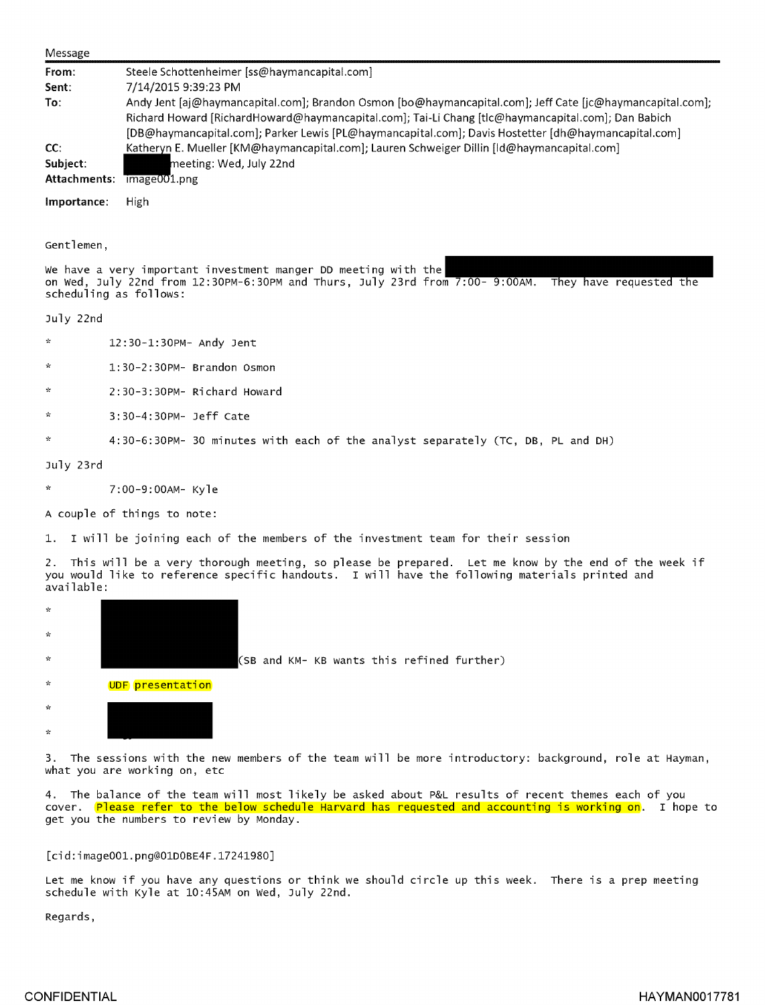| Message               |                                                                                                                                                                                                                                                                                                                                                                                                |  |  |  |  |  |  |  |  |
|-----------------------|------------------------------------------------------------------------------------------------------------------------------------------------------------------------------------------------------------------------------------------------------------------------------------------------------------------------------------------------------------------------------------------------|--|--|--|--|--|--|--|--|
| From:<br>Sent:<br>To: | Steele Schottenheimer [ss@haymancapital.com]<br>7/14/2015 9:39:23 PM<br>Andy Jent [aj@haymancapital.com]; Brandon Osmon [bo@haymancapital.com]; Jeff Cate [jc@haymancapital.com];<br>Richard Howard [RichardHoward@haymancapital.com]; Tai-Li Chang [tlc@haymancapital.com]; Dan Babich<br>[DB@haymancapital.com]; Parker Lewis [PL@haymancapital.com]; Davis Hostetter [dh@haymancapital.com] |  |  |  |  |  |  |  |  |
| CC:<br>Subject:       | Katheryn E. Mueller [KM@haymancapital.com]; Lauren Schweiger Dillin [Id@haymancapital.com]<br>meeting: Wed, July 22nd<br>Attachments: image001.png                                                                                                                                                                                                                                             |  |  |  |  |  |  |  |  |
| Importance:           | High                                                                                                                                                                                                                                                                                                                                                                                           |  |  |  |  |  |  |  |  |
| Gentlemen,            | We have a very important investment manger DD meeting with the<br>on Wed, July 22nd from 12:30PM-6:30PM and Thurs, July 23rd from 7:00- 9:00AM.<br>They have requested the<br>scheduling as follows:                                                                                                                                                                                           |  |  |  |  |  |  |  |  |
| July 22nd             |                                                                                                                                                                                                                                                                                                                                                                                                |  |  |  |  |  |  |  |  |
| $\mathcal{H}$         | 12:30-1:30PM- Andy Jent                                                                                                                                                                                                                                                                                                                                                                        |  |  |  |  |  |  |  |  |
| ÷.                    | $1:30-2:30PM-$ Brandon Osmon                                                                                                                                                                                                                                                                                                                                                                   |  |  |  |  |  |  |  |  |
| $\mathcal{L}$         | $2:30-3:30PM-$ Richard Howard                                                                                                                                                                                                                                                                                                                                                                  |  |  |  |  |  |  |  |  |

- \* 3:30-4:30PM- Jeff Cate
- 4:30-6:30PM-30 minutes with each of the analyst separately (TC, DB, PL and DH)

July 23rd

\* 7:00-9:00AM-Kyle

A couple of things to note:

1. I will be joining each of the members of the investment team for their session

2. This will be a very thorough meeting, so please be prepared. Let me know by the end of the week if you would like to reference specific handouts. I will have the following materials printed and available:

| $\mathcal{R}$ |                  |  |  |  |                                            |  |
|---------------|------------------|--|--|--|--------------------------------------------|--|
| $\mathcal{R}$ |                  |  |  |  |                                            |  |
| $\mathbf{x}$  |                  |  |  |  | (SB and KM- KB wants this refined further) |  |
| $\mathcal{H}$ | UDF presentation |  |  |  |                                            |  |
| $\mathbf{x}$  |                  |  |  |  |                                            |  |

3. The sessions with the new members of the team will be more introductory: background, role at Hayman, what you are working on, etc

4. The balance of the team will most likely be asked about P&L results of recent themes each of you cover. Please refer to the below schedule Harvard has requested and accounting is working on. I hope to get you the numbers to review by Monday.

## [cid:image001.png@OlDOBE4F.17241980]

Let me know if you have any questions or think we should circle up this week. There is a prep meeting schedule with Kyle at 10:45AM on Wed, J uly 22nd.

Regards,

 $\mathbf{x}$